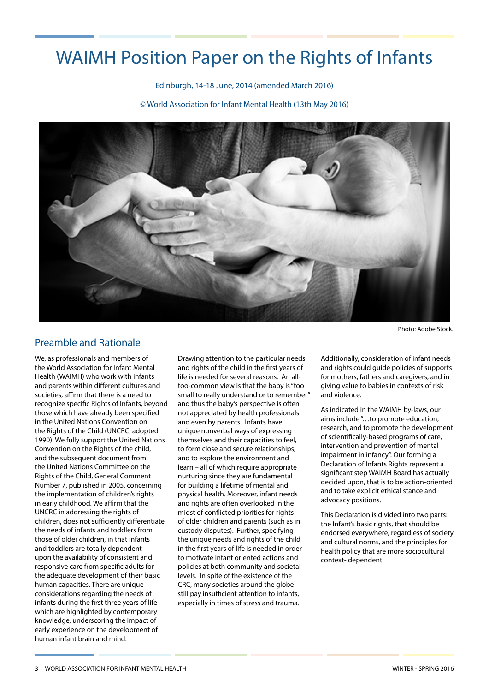# WAIMH Position Paper on the Rights of Infants

Edinburgh, 14-18 June, 2014 (amended March 2016)

© World Association for Infant Mental Health (13th May 2016)



Preamble and Rationale

We, as professionals and members of the World Association for Infant Mental Health (WAIMH) who work with infants and parents within different cultures and societies, affirm that there is a need to recognize specific Rights of Infants, beyond those which have already been specified in the United Nations Convention on the Rights of the Child (UNCRC, adopted 1990). We fully support the United Nations Convention on the Rights of the child, and the subsequent document from the United Nations Committee on the Rights of the Child, General Comment Number 7, published in 2005, concerning the implementation of children's rights in early childhood. We affirm that the UNCRC in addressing the rights of children, does not sufficiently differentiate the needs of infants and toddlers from those of older children, in that infants and toddlers are totally dependent upon the availability of consistent and responsive care from specific adults for the adequate development of their basic human capacities. There are unique considerations regarding the needs of infants during the first three years of life which are highlighted by contemporary knowledge, underscoring the impact of early experience on the development of human infant brain and mind.

Drawing attention to the particular needs and rights of the child in the first years of life is needed for several reasons. An alltoo-common view is that the baby is "too small to really understand or to remember" and thus the baby's perspective is often not appreciated by health professionals and even by parents. Infants have unique nonverbal ways of expressing themselves and their capacities to feel, to form close and secure relationships, and to explore the environment and learn – all of which require appropriate nurturing since they are fundamental for building a lifetime of mental and physical health. Moreover, infant needs and rights are often overlooked in the midst of conflicted priorities for rights of older children and parents (such as in custody disputes). Further, specifying the unique needs and rights of the child in the first years of life is needed in order to motivate infant oriented actions and policies at both community and societal levels. In spite of the existence of the CRC, many societies around the globe still pay insufficient attention to infants, especially in times of stress and trauma.

Photo: Adobe Stock.

Additionally, consideration of infant needs and rights could guide policies of supports for mothers, fathers and caregivers, and in giving value to babies in contexts of risk and violence.

As indicated in the WAIMH by-laws, our aims include "…to promote education, research, and to promote the development of scientifically-based programs of care, intervention and prevention of mental impairment in infancy". Our forming a Declaration of Infants Rights represent a significant step WAIMH Board has actually decided upon, that is to be action-oriented and to take explicit ethical stance and advocacy positions.

This Declaration is divided into two parts: the Infant's basic rights, that should be endorsed everywhere, regardless of society and cultural norms, and the principles for health policy that are more sociocultural context- dependent.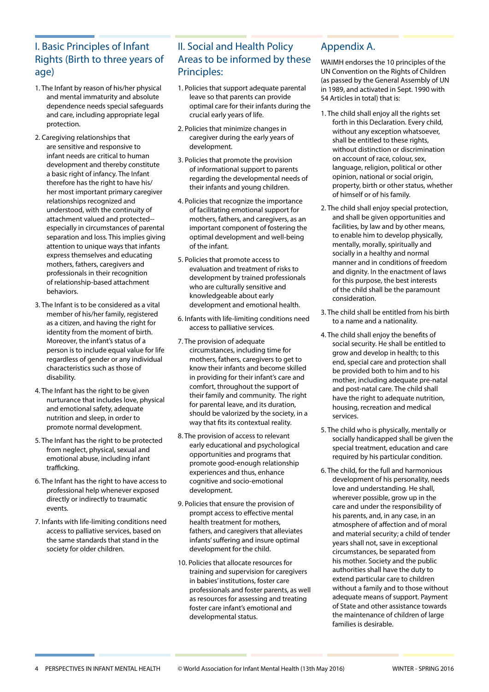## I. Basic Principles of Infant Rights (Birth to three years of age)

- 1. The Infant by reason of his/her physical and mental immaturity and absolute dependence needs special safeguards and care, including appropriate legal protection.
- 2. Caregiving relationships that are sensitive and responsive to infant needs are critical to human development and thereby constitute a basic right of infancy. The Infant therefore has the right to have his/ her most important primary caregiver relationships recognized and understood, with the continuity of attachment valued and protected- especially in circumstances of parental separation and loss. This implies giving attention to unique ways that infants express themselves and educating mothers, fathers, caregivers and professionals in their recognition of relationship-based attachment behaviors.
- 3. The Infant is to be considered as a vital member of his/her family, registered as a citizen, and having the right for identity from the moment of birth. Moreover, the infant's status of a person is to include equal value for life regardless of gender or any individual characteristics such as those of disability.
- 4. The Infant has the right to be given nurturance that includes love, physical and emotional safety, adequate nutrition and sleep, in order to promote normal development.
- 5. The Infant has the right to be protected from neglect, physical, sexual and emotional abuse, including infant trafficking.
- 6. The Infant has the right to have access to professional help whenever exposed directly or indirectly to traumatic events.
- 7. Infants with life-limiting conditions need access to palliative services, based on the same standards that stand in the society for older children.

### II. Social and Health Policy Areas to be informed by these Principles:

- 1. Policies that support adequate parental leave so that parents can provide optimal care for their infants during the crucial early years of life.
- 2. Policies that minimize changes in caregiver during the early years of development.
- 3. Policies that promote the provision of informational support to parents regarding the developmental needs of their infants and young children.
- 4. Policies that recognize the importance of facilitating emotional support for mothers, fathers, and caregivers, as an important component of fostering the optimal development and well-being of the infant.
- 5. Policies that promote access to evaluation and treatment of risks to development by trained professionals who are culturally sensitive and knowledgeable about early development and emotional health.
- 6. Infants with life-limiting conditions need access to palliative services.
- 7. The provision of adequate circumstances, including time for mothers, fathers, caregivers to get to know their infants and become skilled in providing for their infant's care and comfort, throughout the support of their family and community. The right for parental leave, and its duration, should be valorized by the society, in a way that fits its contextual reality.
- 8. The provision of access to relevant early educational and psychological opportunities and programs that promote good-enough relationship experiences and thus, enhance cognitive and socio-emotional development.
- 9. Policies that ensure the provision of prompt access to effective mental health treatment for mothers, fathers, and caregivers that alleviates infants' suffering and insure optimal development for the child.
- 10. Policies that allocate resources for training and supervision for caregivers in babies' institutions, foster care professionals and foster parents, as well as resources for assessing and treating foster care infant's emotional and developmental status.

### Appendix A.

WAIMH endorses the 10 principles of the UN Convention on the Rights of Children (as passed by the General Assembly of UN in 1989, and activated in Sept. 1990 with 54 Articles in total) that is:

- 1. The child shall enjoy all the rights set forth in this Declaration. Every child, without any exception whatsoever, shall be entitled to these rights, without distinction or discrimination on account of race, colour, sex, language, religion, political or other opinion, national or social origin, property, birth or other status, whether of himself or of his family.
- 2. The child shall enjoy special protection, and shall be given opportunities and facilities, by law and by other means, to enable him to develop physically, mentally, morally, spiritually and socially in a healthy and normal manner and in conditions of freedom and dignity. In the enactment of laws for this purpose, the best interests of the child shall be the paramount consideration.
- 3. The child shall be entitled from his birth to a name and a nationality.
- 4. The child shall enjoy the benefits of social security. He shall be entitled to grow and develop in health; to this end, special care and protection shall be provided both to him and to his mother, including adequate pre-natal and post-natal care. The child shall have the right to adequate nutrition, housing, recreation and medical services.
- 5. The child who is physically, mentally or socially handicapped shall be given the special treatment, education and care required by his particular condition.
- 6. The child, for the full and harmonious development of his personality, needs love and understanding. He shall, wherever possible, grow up in the care and under the responsibility of his parents, and, in any case, in an atmosphere of affection and of moral and material security; a child of tender years shall not, save in exceptional circumstances, be separated from his mother. Society and the public authorities shall have the duty to extend particular care to children without a family and to those without adequate means of support. Payment of State and other assistance towards the maintenance of children of large families is desirable.